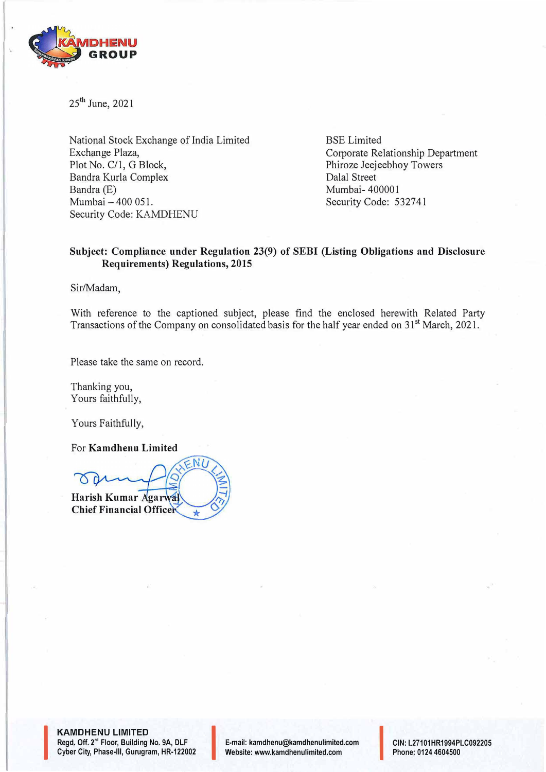

25<sup>th</sup> June, 2021

National Stock Exchange of India Limited Exchange Plaza, Plot No. C/1, G Block, Bandra Kurla Complex Bandra (E) Mumbai - 400 051. Security Code: KAMDHENU

BSE Limited Corporate Relationship Department Phiroze Jeejeebhoy Towers Dalal Street Mumbai-400001 Security Code: 532741

# **Subject: Compliance under Regulation 23(9) of SEBI (Listing Obligations and Disclosure Requirements) Regulations, 2015**

Sir/Madam,

With reference to the captioned subject, please find the enclosed herewith Related Party Transactions of the Company on consolidated basis for the half year ended on 31<sup>st</sup> March, 2021.

Please take the same on record.

Thanking you, Yours faithfully,

Yours Faithfully,

For **Kamdhenu Limited** 

 $ENI$ **Harish Kumar Agarwa Chief Financial Officer** 

**KAMDHENU LIMITED**<br>Regd. Off. 2<sup>rd</sup> Floor, Building I<br>Cyber City, Phase-III, Gurugra Regd. Off. 2<sup>nd</sup> Floor, Building No. 9A, DLF Cyber City, Phase-Ill, Gurugram, HR-122002 I E-mail: kamdhenu@kamdhenulimited.com

E-mail: kamdhenu@kamdhenulimited.com CIN: L27101HR1994PLC092205<br>Website: www.kamdhenulimited.com Phone: 0124 4604500

Phone: 0124 4604500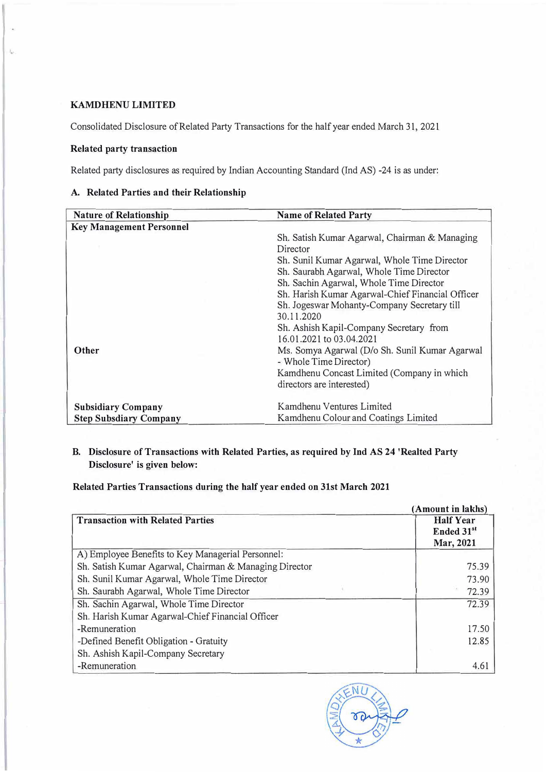#### **KAMDHENU LIMITED**

Consolidated Disclosure of Related Party Transactions for the half year ended March 31, 2021

### **Related party transaction**

Related party disclosures as required by Indian Accounting Standard (Ind AS) -24 is as under:

### **A. Related Parties and their Relationship**

| <b>Nature of Relationship</b>   | <b>Name of Related Party</b>                     |
|---------------------------------|--------------------------------------------------|
| <b>Key Management Personnel</b> |                                                  |
|                                 | Sh. Satish Kumar Agarwal, Chairman & Managing    |
|                                 | Director                                         |
|                                 | Sh. Sunil Kumar Agarwal, Whole Time Director     |
|                                 | Sh. Saurabh Agarwal, Whole Time Director         |
|                                 | Sh. Sachin Agarwal, Whole Time Director          |
|                                 | Sh. Harish Kumar Agarwal-Chief Financial Officer |
|                                 | Sh. Jogeswar Mohanty-Company Secretary till      |
|                                 | 30.11.2020                                       |
|                                 | Sh. Ashish Kapil-Company Secretary from          |
|                                 | 16.01.2021 to 03.04.2021                         |
| Other                           | Ms. Somya Agarwal (D/o Sh. Sunil Kumar Agarwal   |
|                                 | - Whole Time Director)                           |
|                                 | Kamdhenu Concast Limited (Company in which       |
|                                 | directors are interested)                        |
|                                 |                                                  |
| <b>Subsidiary Company</b>       | Kamdhenu Ventures Limited                        |
| <b>Step Subsdiary Company</b>   | Kamdhenu Colour and Coatings Limited             |

# **B. Disclosure of Transactions with Related Parties, as required by Ind AS 24 'Realted Party Disclosure' is given below:**

### **Related Parties Transactions during the half year ended on 31st March 2021**

| (Amount in lakhs)                                      |                                                         |
|--------------------------------------------------------|---------------------------------------------------------|
| <b>Transaction with Related Parties</b>                | <b>Half Year</b><br>Ended 31 <sup>st</sup><br>Mar, 2021 |
| A) Employee Benefits to Key Managerial Personnel:      |                                                         |
| Sh. Satish Kumar Agarwal, Chairman & Managing Director | 75.39                                                   |
| Sh. Sunil Kumar Agarwal, Whole Time Director           | 73.90                                                   |
| Sh. Saurabh Agarwal, Whole Time Director               | 72.39                                                   |
| Sh. Sachin Agarwal, Whole Time Director                | 72.39                                                   |
| Sh. Harish Kumar Agarwal-Chief Financial Officer       |                                                         |
| -Remuneration                                          | 17.50                                                   |
| -Defined Benefit Obligation - Gratuity                 | 12.85                                                   |
| Sh. Ashish Kapil-Company Secretary                     |                                                         |
| -Remuneration                                          | 4.61                                                    |